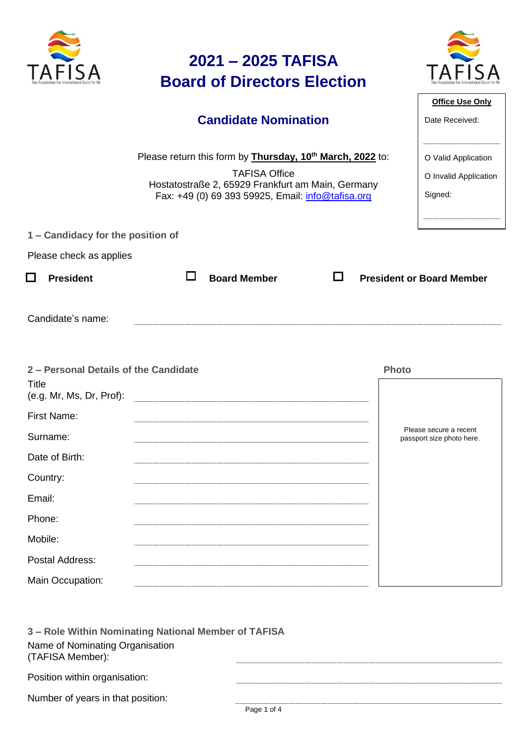|                                                                            | 2021 - 2025 TAFISA<br><b>Board of Directors Election</b>                                                                                                                                           |              |                                                         |
|----------------------------------------------------------------------------|----------------------------------------------------------------------------------------------------------------------------------------------------------------------------------------------------|--------------|---------------------------------------------------------|
|                                                                            | <b>Candidate Nomination</b>                                                                                                                                                                        |              | <b>Office Use Only</b><br>Date Received:                |
|                                                                            |                                                                                                                                                                                                    |              |                                                         |
|                                                                            | Please return this form by <b>Thursday, 10th March, 2022</b> to:<br><b>TAFISA Office</b><br>Hostatostraße 2, 65929 Frankfurt am Main, Germany<br>Fax: +49 (0) 69 393 59925, Email: info@tafisa.org |              | O Valid Application<br>O Invalid Application<br>Signed: |
| 1 - Candidacy for the position of                                          |                                                                                                                                                                                                    |              |                                                         |
| Please check as applies                                                    |                                                                                                                                                                                                    |              |                                                         |
| $\Box$<br><b>President</b>                                                 | <b>Board Member</b><br>l 1                                                                                                                                                                         |              | <b>President or Board Member</b>                        |
| Candidate's name:                                                          |                                                                                                                                                                                                    |              |                                                         |
| 2 - Personal Details of the Candidate<br>Title<br>(e.g. Mr, Ms, Dr, Prof): |                                                                                                                                                                                                    | <b>Photo</b> |                                                         |
| First Name:                                                                |                                                                                                                                                                                                    |              |                                                         |
| Surname:                                                                   |                                                                                                                                                                                                    |              | Please secure a recent<br>passport size photo here.     |
| Date of Birth:                                                             |                                                                                                                                                                                                    |              |                                                         |
| Country:                                                                   |                                                                                                                                                                                                    |              |                                                         |
| Email:                                                                     |                                                                                                                                                                                                    |              |                                                         |
| Phone:                                                                     |                                                                                                                                                                                                    |              |                                                         |
| Mobile:                                                                    |                                                                                                                                                                                                    |              |                                                         |
| Postal Address:                                                            |                                                                                                                                                                                                    |              |                                                         |
| Main Occupation:                                                           |                                                                                                                                                                                                    |              |                                                         |

| 3 - Role Within Nominating National Member of TAFISA |  |  |  |  |  |
|------------------------------------------------------|--|--|--|--|--|
| Name of Nominating Organisation<br>(TAFISA Member):  |  |  |  |  |  |
| Position within organisation:                        |  |  |  |  |  |
| Number of years in that position:                    |  |  |  |  |  |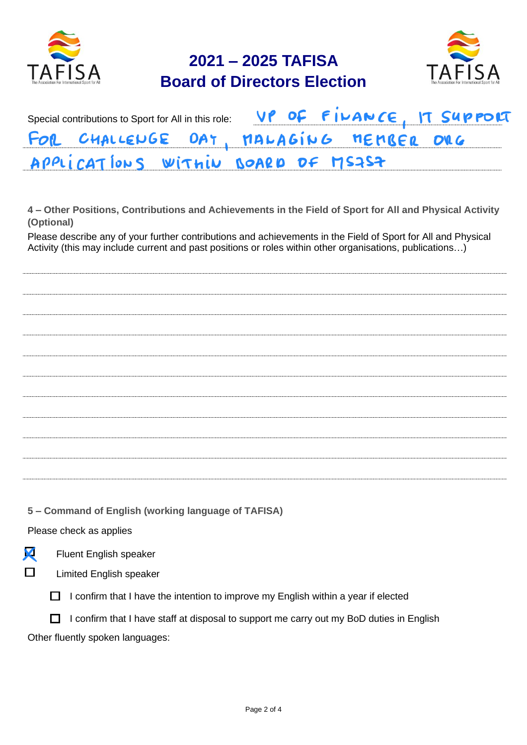

## **2021 – 2025 TAFISA Board of Directors Election**



|                                        |  |  | Special contributions to Sport for All in this role: VP OF FILANCE, IT SUPPOLT |
|----------------------------------------|--|--|--------------------------------------------------------------------------------|
| FOR CHALLENGE DAT, MALAGING MEMBER ORG |  |  |                                                                                |
| APPLICATIONS WITHIN BOARD DF MS7S7     |  |  |                                                                                |

**4 – Other Positions, Contributions and Achievements in the Field of Sport for All and Physical Activity (Optional)**

Please describe any of your further contributions and achievements in the Field of Sport for All and Physical Activity (this may include current and past positions or roles within other organisations, publications…)

**5 – Command of English (working language of TAFISA)**

Please check as applies

| Х | <b>Fluent English speaker</b> |  |
|---|-------------------------------|--|
|   |                               |  |

 $\Box$ Limited English speaker

 $\Box$  I confirm that I have the intention to improve my English within a year if elected

 $\Box$  I confirm that I have staff at disposal to support me carry out my BoD duties in English Other fluently spoken languages: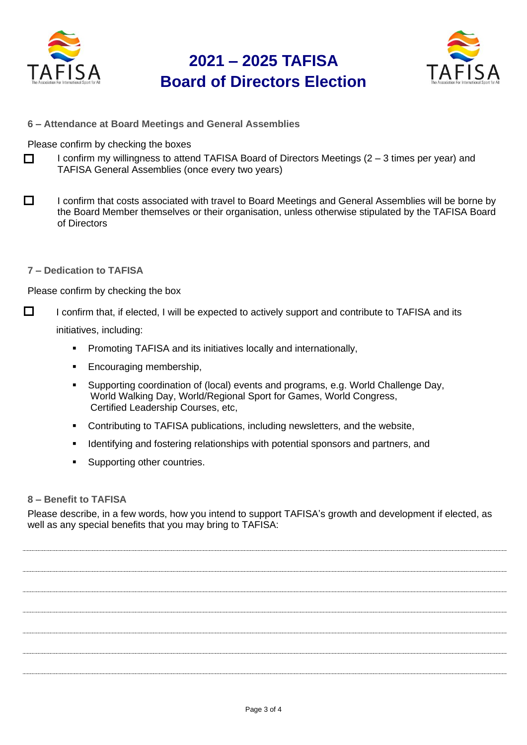

## **2021 – 2025 TAFISA Board of Directors Election**



**6 – Attendance at Board Meetings and General Assemblies**

Please confirm by checking the boxes

- П I confirm my willingness to attend TAFISA Board of Directors Meetings (2 – 3 times per year) and TAFISA General Assemblies (once every two years)
- $\Box$ I confirm that costs associated with travel to Board Meetings and General Assemblies will be borne by the Board Member themselves or their organisation, unless otherwise stipulated by the TAFISA Board of Directors
- **7 – Dedication to TAFISA**

Please confirm by checking the box

 $\Box$ I confirm that, if elected, I will be expected to actively support and contribute to TAFISA and its

initiatives, including:

- **•** Promoting TAFISA and its initiatives locally and internationally,
- Encouraging membership,
- Supporting coordination of (local) events and programs, e.g. World Challenge Day, World Walking Day, World/Regional Sport for Games, World Congress, Certified Leadership Courses, etc,
- Contributing to TAFISA publications, including newsletters, and the website,
- Identifying and fostering relationships with potential sponsors and partners, and
- Supporting other countries.

## **8 – Benefit to TAFISA**

Please describe, in a few words, how you intend to support TAFISA's growth and development if elected, as well as any special benefits that you may bring to TAFISA: